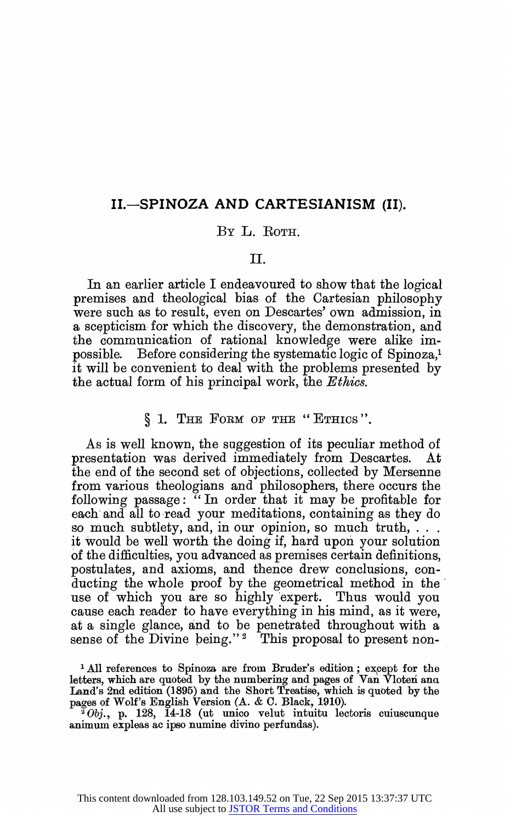# **II.-SPINOZA AND CARTESIANISM (II).**

#### **BY L. ROTH.**

## **II.**

In an earlier article I endeavoured to show that the logical **premises and theological bias of the Cartesian philosophy were such as to result, even on Descartes' own admission, in a scepticism- for which the discovery, the demonstration, and the communication of rational knowledge were alike impossible. Before considering the systematic logic of Spinoza,' it will be convenient to deal with the problems presented by the actual form of his principal work, the Ethics.** 

### **? 1. THE FORM OF THE " ETHICS ".**

**As is well known, the suggestion of its peculiar method of presentation was derived immediately from Descartes. At the end of the second set of objections, collected by Mersenne from various theologians and philosophers, there occurs the following passage: " In order that it may be profitable for each and all to read your meditations, containing as they do so much subtlety, and, in our opinion, so much truth, . . . it would be well worth the doing if, hard upon your solution of the difficulties, you advanced as premises certain definitions, postulates, and axioms, and thence drew conclusions, conducting the whole proof by the geometrical method in the**  use of which you are so highly expert. Thus would you **cause each reader to have everything in his mind, as it were, at a single glance, and to be penetrated throughout with a sense of the Divine being." 2 This proposal to present non-**

**I All references to Spinoza are from Bruder's edition; except for the letters, which are quoted by the numbering and pages of Van Vloten ana Land's 2nd edition (1895) and the Short Treatise, which is quoted by the pages of Wolf's English Version (A. & C. Black, 1910).** 

**2 Obj., p. 128, 14-18 (ut unico velut intuitu lectoris cuiuscunque animum expleas ac ipso numine divino perfundas).**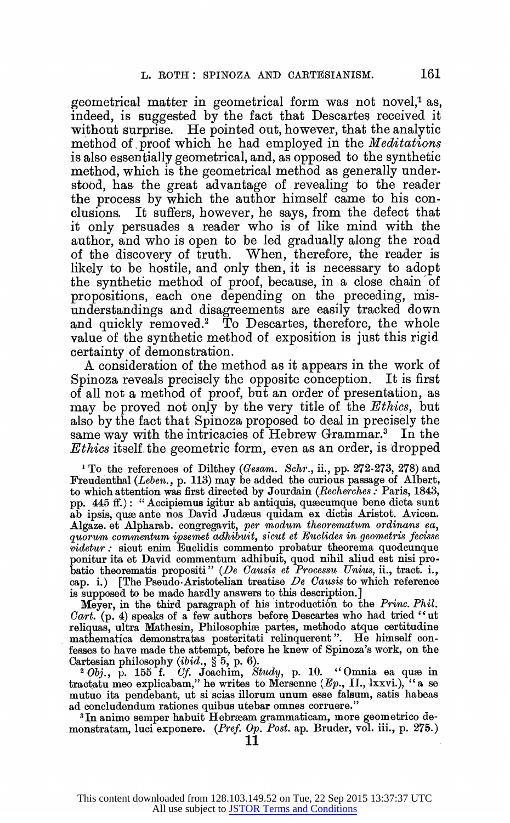**geometrical matter in geometrical form was not novel," as, indeed, is suggested by the fact that Descartes received it without surprise. He pointed out, however, that the analytic method of proof which he had employed in the Meditations is also essentially geometrical, and, as opposed to the synthetic method, which is the geometrical method as generally understood, has the great advantage of revealing to the reader the process by which the author himself came to his conclusions. It suffers, however, he says, from the defect that it only persuades a reader who is of like mind with the author, and who is open to be led gradually along the road of the discovery of truth. When, therefore, the reader is likely to be hostile, and only then, it is necessary to adopt the synthetic method of proof, because, in a close chain-of propositions, each one depending on the preceding, misunderstandings and disagreements are easily tracked down and quickly removed.2 To Descartes, therefore, the whole value of the synthetic method of exposition is just this rigid certainty of demonstration.** 

**A consideration of the method as it appears in the work of Spinoza reveals precisely the opposite conception. It is first of all not a method of proof, but an order of presentation, as**  may be proved not only by the very title of the *Ethics*, but **also by the fact that Spinoza proposed to deal in precisely the same way with the intricacies of Hebrew Grammar.3 In the Ethics itself, the geometric form, even as an order, is dropped** 

<sup>1</sup> To the references of Dilthey (Gesam. Schr., ii., pp. 272-273, 278) and **Freudenthal (Leben., p. 113) may be added the curious passage of Albert, to which attention was first directed by Jourdain (Recherches: Paris, 1843,**  pp. 445 ff.): "Accipiemus igitur ab antiquis, quæcumque bene dicta sunt **ab ipsis, quoe ante nos David Judoeus quidam ex dictis Aristot. Avicen. Algaze. et Alpharab. congregavit, per modum theorematum ordinans ea quorum commentum ipsemet adhibuit, sicut et Euclides in geometiis fecisse videtur: sicut enim Euclidis commento probatur theorema quodcunque ponitur ita et David commentum adhibuit, quod nihil aliud est nisi probatio theorematis propositi" (De Causis et Processu Unius, ii., tract. i., cap. i.) [The Pseudo-Aristotelian treatise De Causis to which reference is supposed to be made hardly answers to this description.]** 

**Meyer, in the third paragraph of his introduction to the Princ. Phil.**  Cart. (p. 4) speaks of a few authors before Descartes who had tried "ut reliquas, ultra Mathesin, Philosophiae partes, methodo atque certitudine **mathematica demonstratas posteritati relinquerent ". He himself confesses to have made the attempt, before he knew of Spinoza's work, on the**  Cartesian philosophy (ibid., § 5, p. 6).

 $2^2Obj.$ , p. 155 f. Cf. Joachim, Study, p. 10. "Omnia ea quae in **tractatu meo explicabam," he writes to Mersenne (Ep., II., lxxvi.), " a se mutuo ita pendebant, ut si scias illorum unum esse falsum, satis habeas ad concludendum rationes quibus utebar omnes corruere."** 

<sup>3</sup>In animo semper habuit Hebræam grammaticam, more geometrico de**monstratam, luci exponere. (Pref. Op. Post. ap. Bruder, vol. iii., p. 275.)** 

**11**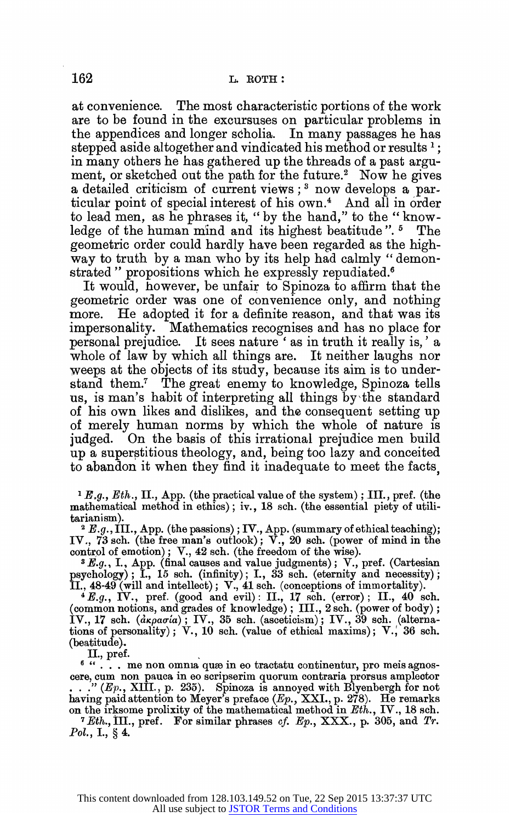**at convenience. The most characteristic portions of the work are to be found in the excursuses on particular problems in the appendices and longer sdholia. In many passages he has stepped aside altogether and vindicated his method or results ; in many others he has gathered up the threads of a past argument, or sketcbed out the path for the future.2 Now he gives**  a detailed criticism of current views;<sup>3</sup> now develops a par**ticular point of special interest of his own.4 And all in order to lead men, as he phrases it, " by the hand," to the " knowledge of the human m'ind and its highest beatitude ". The geometric order could hardly have been regarded as the highway to truth by a man who by its help had calmly " demonstrated" propositions which he expressly repudiated.6** 

**It would, however, be unfair to Spinoza to affirm that the geometric order was one of convenience only, and nothing more. He adopted it for a definite reason, and that was its impersonality. Mathematics recognises and has no place for personal prejudice. It sees nature ' as in truth it really is,' a whole of law by which all things are. It neither laughs nor weeps at the objects of its study, because its aim is to understand them.7 The great enemy to knowledge, Spinoza tells**  us, is man's habit of interpreting all things by the standard **of his own likes and dislikes, and the consequent setting up of merely human norms by which the whole of nature is judged. On the basis of this irrational prejudice men build up a superstitious theology, and, being too lazy and conceited to abandon it when they find it inadequate to meet the facts,** 

**1 E,g., Eth., II., App. (the practical value of the system); III., pref. (the mathematical method in ethics); iv., 18 sch. (the essential piety of utilitarianism).** 

**<sup>2</sup>E.g., III., App. (the passions); IV., App. (summary of ethical teaching); IV., 73 sch. (the free man's outlook); V., 20 sch. (power of mind in the control of emotion); V., 42 sch. (the freedom of the wise).** 

**3 E.g., I., App. (final causes and value judgments); V., pref. (Cartesian psychology); I., 15 sch. (infinity); I., 33 sch. (eternity and necessity); II., 48-49 (will and intellect); V., 41 sch. (conceptions of immortality).** 

**4E.g., IV., pref. (good and evil): II., 17 sch. (error); II., 40 sch. (common notions, and grades of knowledge) ; III., 2 sch. (power of body) ; IV., 17 sch. (dicpaoia); IV., 35 sch. (asceticism); IV., 39 sch. (alternations of personality); V., 10 sch. (value of ethical maxims); V., 36 sch. (beatitude),.** 

**II., pref.** 

 $^{\circ}$  " $\ldots$  **ne non omnia quem in eo tractatu continentur, pro meis agnoscere, cum non pauca in eo scripserim quorum contraria prorsus ampleotor (Ep., XIII., p. 235). Spinoza is annoyed with Blyenbergh for not having paid attention to Meyer's preface (Ep., XXI., p. 278). He remarks on the irksome prolixity of the mathematical method in Eth., IV., 18 sch. 7Eth., III., pref. For similar phrases cf. Ep., XXX., p. 305, and Tr. Pot., I., ? 4.**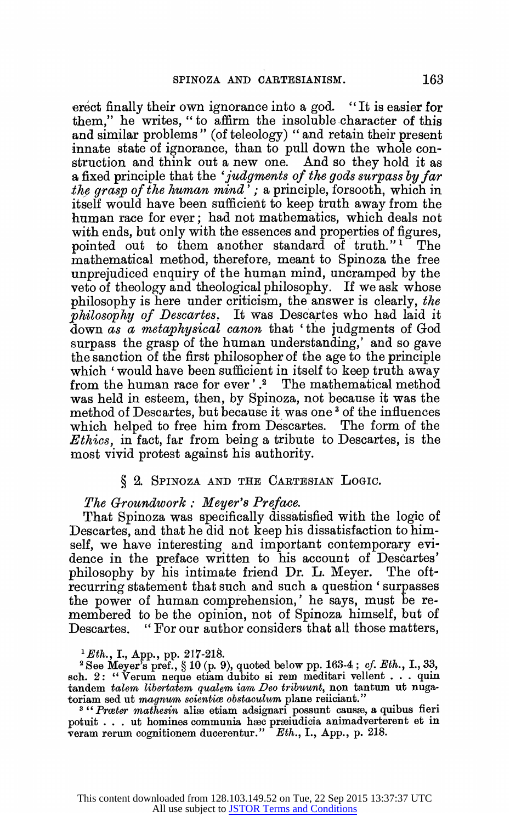**erect finally their own ignorance into a god. "It is easier for them," he writes, " to affirm the insoluble character of this and similar problems " (of teleology) " and retain their present**  innate state of ignorance, than to pull down the whole con**struction and think out a new one. And so they hold it as a fixed principle that the 'judgments of the gods surpass by far -the grasp of the human mind'; a principle, forsooth, which in itself would have been sufficient to keep truth away from the human race for ever; had not mathematics, which deals not**  with ends, but only with the essences and properties of figures, nointed out to them another standard of truth."<sup>1</sup> The **pointed out to them another standard of truth.**" **mathematical method, therefore, meant to Spinoza the free unprejudiced enquiry of the human mind, uncramped by the veto of theology and theological philosophy. If we ask whose philosophy is here under criticism, the answer is clearly, the philosophy of Descartes. It was Descartes who had laid it down as a metaphysical canon that 'the judgments of God surpass the grasp of the human understanding,' and so gave the sanction of the first philosopher of the age to the principle which ' would have been sufficient in itself to keep truth away from the human race for ever' .2 The mathematical method was held in esteem, then, by Spinoza, not because it was the method of Descartes, but because it was one 3 of the influences which helped to free him from Descartes. The form of the Ethics, in fact, far from being a tribute to Descartes, is the most vivid protest against his authority.** 

## **? 2. SPINOZA AND THE CARTESIAN LOGIC.**

**The Groundwork: Meyer's Preface.** 

That Spinoza was specifically dissatisfied with the logic of **Descartes, and that he did not keep his dissatisfaction to himself, we have interesting and important contemporary evidence in the preface written to his account of Descartes' philosophy by his intimate friend Dr. L. Meyer. The oftrecurring statement that such and such a question ' surpasses**  the power of human comprehension,' he says, must be re**membered to be the opinion, not of Spinoza himself, but of Descartes. " For our author considers that all those matters,** 

**IEth., I., App., pp. 217-218.** 

<sup>2</sup> See Meyer's pref., § 10 (p. 9), quoted below pp. 163-4; cf. Eth., I., 33, **sch. 2: "Verum neque etiam dubito si rem meditari vellent . . . quin**  tandem talem libertatem qualem iam Deo tribuunt, non tantum ut nuga**toriam sed ut magnum scientice obstaculum plane reiiciant."** 

<sup>3</sup> "Prater mathesin aliæ etiam adsignari possunt causæ, a quibus fieri potuit **...** ut homines communia hæc præiudicia animadverterent et in veram rerum cognitionem ducerentur." Eth., I., App., p. 218.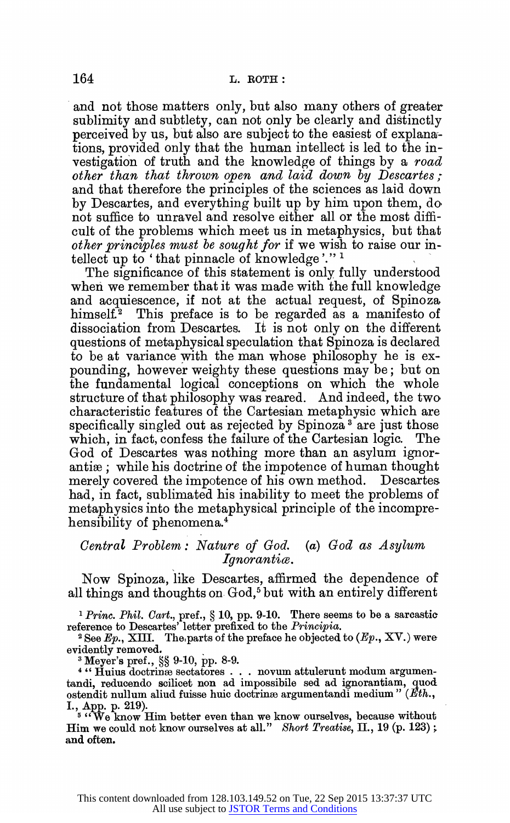**and not those matters only, but also many others of greater sublimity and subtlety, can not only be clearly and distinctly**  perceived by us, but also are subject to the easiest of explana**tions, provided only that the human intellect is led to the investigation of truth and the knowledge of things by a road other than that thrown open and laid down by Descartes; and that therefore the principles of the sciences as laid down by Descartes, and everything built up by him upon them, do not suffice to unravel and resolve either all or the most difficult of the problems which meet us in metaphysics, but that other principles must be sought for if we wish to raise our intellect up to 'that pinnacle of knowledge '."** 

**The significance of this statement is only fully understood when we remember that it was made with the full knowledge**  and acquiescence, if not at the actual request, of Spinoza himself.<sup>2</sup> This preface is to be regarded as a manifesto of This preface is to be regarded as a manifesto of **dissociation from Descartes. It is not only on the different questions of metaphysical speculation that Spinoza is declared to be at variance with the man whose philosophy he is expounding, however weighty these questions may be; but on the fundamental logical conceptions on which the whole structure of that philosophy was reared. And indeed, the two characteristic features of the Cartesian metaphysic which are specifically singled out as rejected by Spinoza 3 are just those which, in fact, confess the failure of the Cartesian logic. The God of Descartes was nothing more than an asylum ignor**antiæ; while his doctrine of the impotence of human thought **merely covered the impotence of his own method. Descartes had, in fact, sublimated his inability to meet the problems of metaphysics into the metaphysical principle of the incomprehensibility of phenomena.4** 

### **Central Problem: Nature of God. (a) God as Asylum**   $Iqnormalia.$

**Now Spinoza, like Descartes, affirmed the dependence of all things and thoughts on God,5 but with an entirely different** 

<sup>1</sup> Princ. Phil. Cart., pref., § 10, pp. 9-10. There seems to be a sarcastic **reference to Descartes' letter prefixed to the Principia.** 

<sup>2</sup> See  $Ep.$ , XIII. The parts of the preface he objected to  $(Ep.$ , XV.) were **evidently removed.** 

<sup>3</sup> Meyer's pref., §§ 9-10, pp. 8-9.

**<sup>4</sup>" Huius doctrinae sectatores . . . novum attulerunt modum argumentandi, reducendo scilicet non ad impossibile sed ad ignorantiam, quod**  ostendit nullum aliud fuisse huic doctrinae argumentandi medium " (*Eth.*,

**I., App. p. 219). <sup>5</sup>"We know Him better even than we know ourselves, because without Him we could not know ourselves at all." Short Treatise, II., 19 (p. 123); and often.**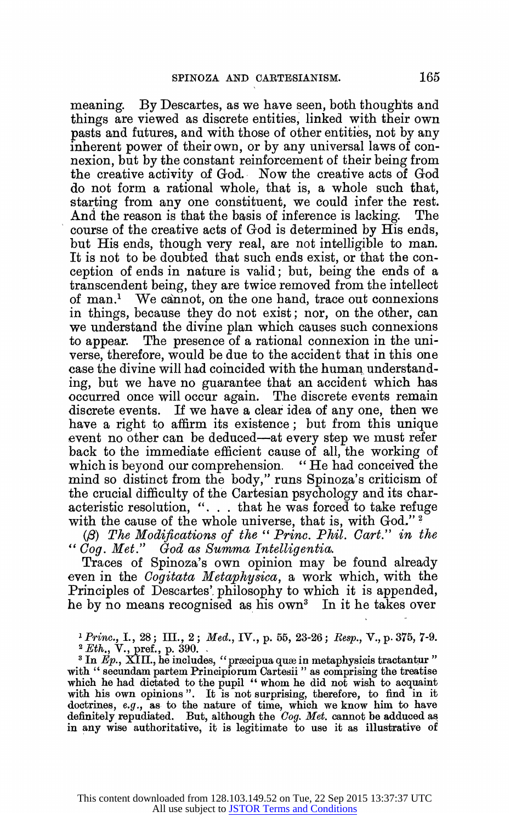**meaning. By Descartes, as we have seen, both thoughts and things are viewed as discrete entities, linked with their own pasts and futures, and with those of other entities, not by any inherent power of their own, or by any universal laws of connexion, but by the constant reinforcement of their being from the creative activity of God. Now the creative acts of God do not form a rational whole, that is, a whole such that, starting from any one constituent, we could infer the rest. And the reason is that the basis of inference is lacking. The course of the creative acts of God is determined by His ends, but His ends, though very real, are not intelligible to man. It is not to be doubted that such ends exist, or that the conception of ends in nature is valid; but, being the ends of a transcendent being, they are twice removed from the intellect of man.' We cannot, on the one hand, trace out connexions in things, because they do not exist; nor, on the other, can we understand the divine plan which causes such connexions to appear. The presence of a rational connexion in the universe, therefore, would be due to the accident that in this one case the divine will had coincided with the human understanding, but we have no guarantee that an accident which has occurred once will occur again. The discrete events remain discrete events. If we have a clear idea of any one, then we have a right to affirm its existence; but from this unique event no other can be deduced-at every step we must refer back to the immediate efficient cause of all, the working of which is beyond our comprehension. " He had conceived the mind so distinct from the body," runs Spinoza's criticism of the crucial difficulty of the Cartesian psychology and its characteristic resolution, ". . . that he was forced to take refuge with the cause of the whole universe, that is, with God." 2** 

**(,8) The Modifications of the " Prine. Phil. Cart." in the "Cog. Met." God as Summa Intelligentia.** 

**Traces of Spinoza's own opinion may be found already even in the Cogitata Metaphysica, a work which, with the Principles of Descartes'. philosophy to which it is appended, he by no means recognised as his own' In it he takes over** 

**<sup>I</sup>Prin., I., 28; II., 2; Med., IV., p. 55, 23-26; Resp., V., p. 375, 7-9. 2Eth., V., pref., p. 390.** 

 $3$  In  $Ep.$ , XIII., he includes, " pracipua quae in metaphysicis tractantur" **with " secundam partem Principiorum Cartesii " as comprising the treatise which he had dictated to the pupil " whom he did not wish to acquaint**  with his own opinions". It is not surprising, therefore, to find in it **doctrines, e.g., as to the nature of time, which we know him to have definitely repudiated. But, although the Cog. Met. cannot be adduced as in any wise authoritative, it is legitimate to use it as illustrative of**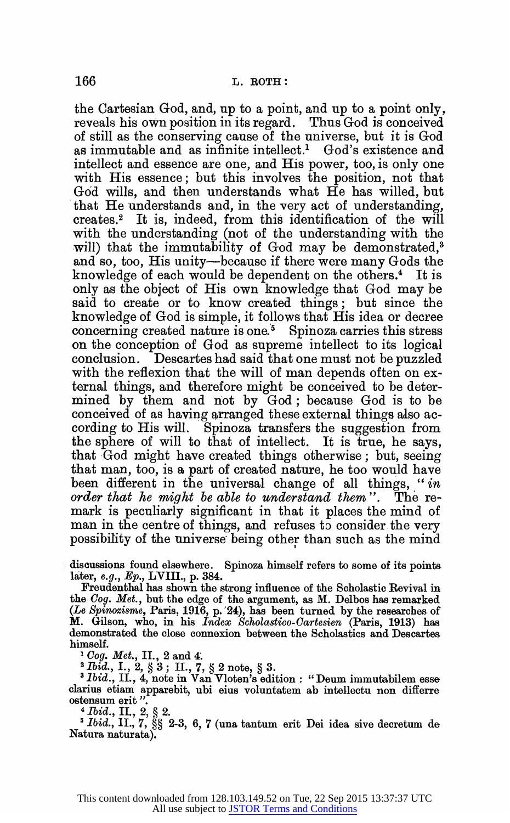**the Cartesian God, and, up to a point, and up to a point only, reveals his own position in its regard. Thus God is conceived of still as the conserving cause of the universe, but it is God as immutable and as infinite intellect.' God's existence and intellect and essence are one, and His power, too, is only one**  with His essence; but this involves the position, not that **God wills, and then understands what He has willed, but that He understands and, in the very act of understanding, creates.2 It is, indeed, from this identification of the will with the understanding (not of the understanding with the**  will) that the immutability of God may be demonstrated,<sup>3</sup> **and so, too, His unity-because if there were many Gods the knowledge of each would be dependent on the others.4 It is only as the object of His own knowledge that God may be said to create or to know created things; but since the knowledge of God is simple, it follows that His idea or decree concerning created nature is one.5 Spinoza carries this stress on the conception of God as supreme intellect to its logical conclusion. Descartes had said that one must not be puzzled with the reflexion that the will of man depends often on external things, and therefore might be conceived to be determined by them and not by God; because God is to be conceived of as having arranged these external things also according to His will. Spinoza transfers the suggestion from the sphere of will to that of intellect. It is true, he says, that God might have created tbings otherwise; but, seeing that man, too, is a part of created nature, he too would have**  been different in the universal change of all things, "in **order that he might be able to understand them ". The remark is peculiarly significant in that it places the mind of man in the centre of things, and refuses to consider the very possibility of the universe' being other than such as the mind** 

**discussions found elsewhere. Spinoza himself refers to some of its points later, e.g., Ep., LVIII., p. 384.** 

**Freudenthal has shown the strong influence of the Scholastic Revival in the Cog. Met., but the edge of the argument, as M. Delbos has remarked (Le Spinozisme, Paris, 1916, p. 24), has been turned by the researches of M. Gilson, who, in his Index Scholastico-Cartesien (Paris, 1913) has demonstrated the close connexion between the Scholastics and Descartes himself.** 

**1 Cog. Met., II., 2 and 4.** 

**2lbid., 1., 2, ? 3; II., 7, ? 2 note, ? 3.** 

**3 lbid., II., 4, note in Van Vloten's edition: "Deum immutabilem esse clarius etiam apparebit, ubi eius voluntatem ab intellectu non differre ostensum erit ".** 

**4lbid., II., 2, ?2. <sup>5</sup>Ibid., II., 7, i? 2-3, 6, 7 (una tantum erit Dei idea sive decretum de Natura naturata).**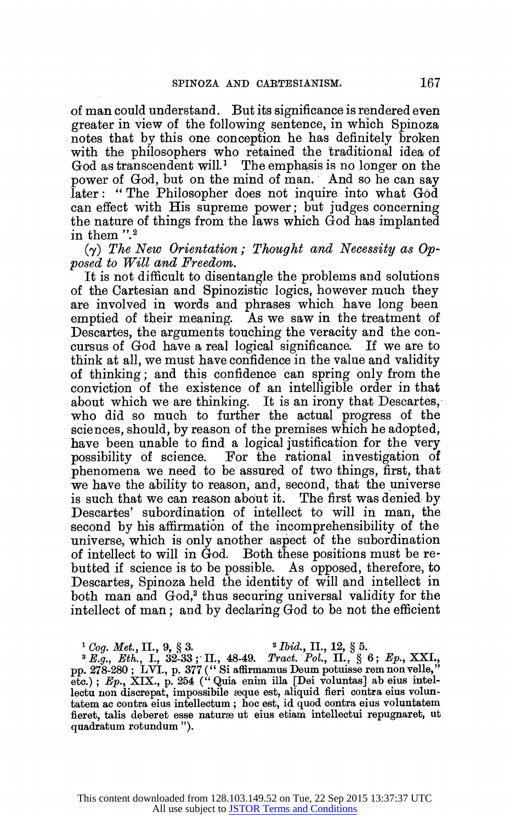**of man could understand. But its significance is rendered even greater in view of the following sentence, in which Spinoza notes that by this one conception he has definitely broken with the philosophers who retained the traditional idea of God as transcendent will.' The emphasis is no longer on the power of God, but on the mind of man.. And so he can say later: " The Philosopher does not inquire into what God can effect with His supreme power; but judges concerning the nature of things from the laws which God has implanted**  in them ".<sup>2</sup>

**(y) The New Orientation; Thought and Necessity as Opposed to Will and Freedom.** 

**It is not difficult to disentangle the problems and solutions of the Cartesian and Spinozistic logics, however much they are involved in words and phrases which have long been emptied of their meaning. As we saw in the treatment of Descartes, the arguments touching the veracity and the concursus of God have a real logical significance. If we are to think at all, we must have confidence in the value and validity of thinking; and this confidence can spring only from the conviction of the existence of an intelligible order in that about which we are thinking. It is an irony that Descartes,**  who did so much to further the actual progress of the **sciences, should, by reason of the premises which he adopted, have been unable to find a logical justification for the very possibility of science. For the rational investigation of phenomena we need to be assured of two things, first, that we have the ability to reason, and, second, that the universe**  is such that we can reason about it. **Descartes' subordination of intellect to will in man, the**  second by his affirmation of the incomprehensibility of the **universe, which is only another aspect of the subordination of intellect to will in God. Both these positions must be rebutted if science is to be possible. As opposed, therefore, to Descartes, Spinoza held the identity of will and intellect in both man and God,' thus securing universal validity for the intellect of man; and by declaring God to be not the efficient** 

*Cog. Met.,* **II., 9,**  $\S$  **3.**  $\qquad \qquad \text{}$  $\qquad \qquad$  $\qquad \qquad$  $\qquad$  $\qquad \qquad$  $\qquad \qquad$  $\qquad \qquad$  $\qquad \qquad$  $\qquad \qquad$  $\qquad \qquad$  $\qquad \qquad$  $\qquad \qquad$  $\qquad \qquad$  $\qquad \qquad$  $\qquad \qquad$  $\qquad \qquad$  $\qquad \qquad$  $\qquad \qquad$  $\qquad \qquad$  $\qquad \qquad$  $\qquad \qquad$ 

 $3E.g., Eth., I., 32-33 ; II., 48-49. Tract. Pol., II., § 6; Ep., XXI.,$ **pp. 278-280; LVI., p. 377 (" Si affirmamus Deum potuisse rem non velle," etc.); Ep., XIX., p. 254 (" Quia enim illa [Dei voluntas] ab eius intellectu non discrepat, impossibile aeque est, aliquid fieri contra eius voluntatem ac contra eius intellectum; hoc est, id quod contra eius voluntatem**  fieret, talis deberet esse naturæ ut eius etiam intellectui repugnaret, ut **quadratum rotundum ").**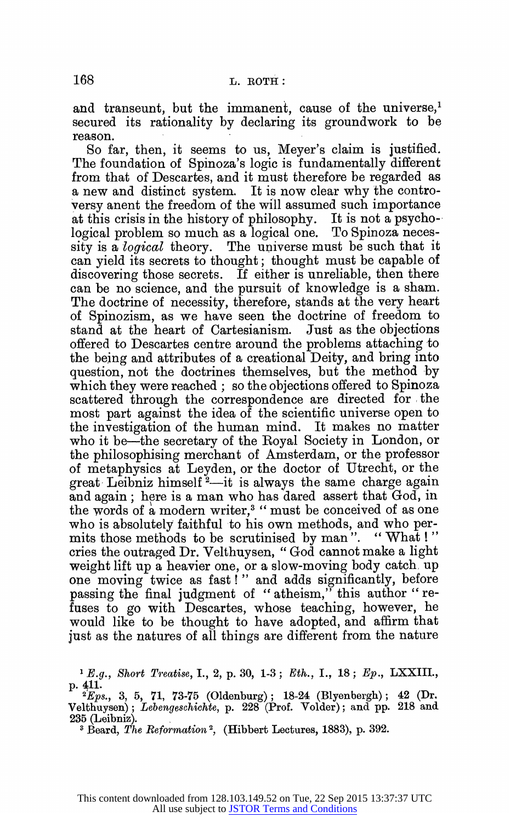**and transeunt, but the immanent, cause of the universe,' secured its rationality by declaring its groundwork to be reason.** 

**So far, then, it seems to us, Meyer's claim is justified. The foundation of Spinoza's logic is fundamentally different from that of Descartes, and it must therefore be regarded as a new and distinct system. It is now clear why the controversy anent the freedom of the will assumed such importance at this crisis in the history of philosophy. It is not a psychological problem so much as a logical one. To Spinoza necessity is a logical theory. The universe must be such that it can yield its secrets to thought; thought must be capable of discovering those secrets. If either is unreliable, then there can be no science, and the pursuit of knowledge is a sham. The doctrine of necessity, therefore, stands at the very heart of Spinozism, as we have seen the doctrine of freedom to stand at the heart of Cartesianism. Just as the objections offered to Descartes centre around the problems attaching to the being and attributes of a creational Deity, and bring into question, not the doctrines themselves, but the method by which they were reached; so the objections offered to Spinoza scattered through the correspondence are directed for the most part against the idea of the scientific universe open to the investigation of the human mind. It makes no matter who it be-the secretary of the Royal Society in London, or the philosophising merchant of Amsterdam, or the professor of metaphysics at Leyden, or the doctor of Utrecht, or the great, Leibniz himself 2it is always the same charge again and again; here is a man who has dared assert that God, in**  the words of a modern writer,<sup>3</sup> "must be conceived of as one **who is absolutely faithful to his own methods, and who permits those methods to be scrutinised by man ". " What! " cries the outraged Dr. Velthuysen, " God cannot make a light weight lift up a heavier one, or a slow-moving body catch, up one moving twice as fast! " and adds significantly, before**  passing the final judgment of "atheism," this author "re**fuses to go with Descartes, whose teaching, however, he would like to be thought to have adopted, and affirm that just as the natures of all things are different from the nature** 

**<sup>1</sup>E.g., Short Treatise, I., 2, p. 30, 1-3; Eth., I., 18; Ep., LXXIII., p. 411.** 

**2Eps., 3, 5, 71, 73-75 (Oldenburg); 18-24 (Blyenbergh); 42 (Dr. Velthuysen); Lebengeschichte, p. 228 (Prof. Volder); and pp. 218 and 235 (Leibhiz).** 

<sup>3</sup> Beard, *The Reformation*<sup>2</sup>, (Hibbert Lectures, 1883), p. 392.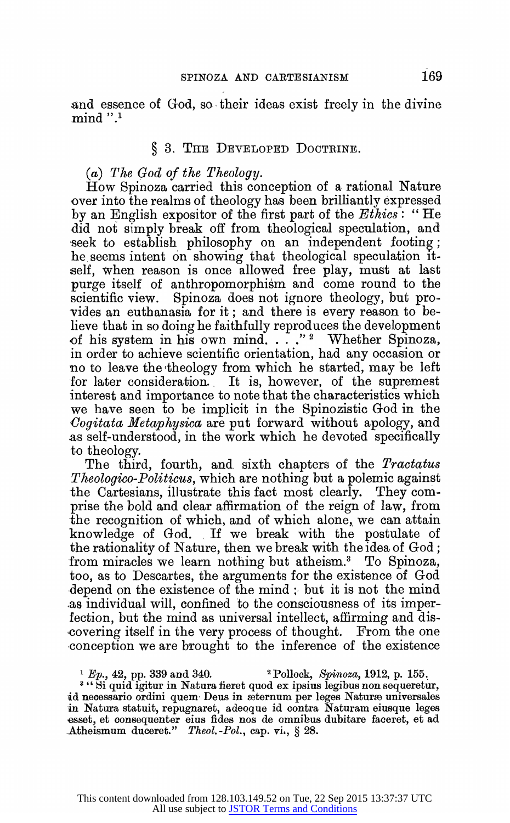and essence of God, so their ideas exist freely in the divine **mind ".1** 

### **? 3. THE DEVELOPED DOCTRINE.**

**(a) The God of the Theology.** 

**How Spinoza carried this conception of a rational Nature over into the realms of theology has been brilliantly expressed by an English expositor of the first part of the Ethics: " He did not simply break off from theological speculation, and seek to establish philosophy on an independent footing; he seems intent on showing that theological speculation it**self, when reason is once allowed free play, must at last **purge itself of anthropomorphism and come round to the scientific view. Spinoza does not ignore theology, but provides an euthanasia for it; and there is every reason to believe that in so doing he faithfully reproduces the development of his system in his own mind. . . <sup>2</sup>Whether Spinoza, in order to achieve scientific orientation, had any occasion or no to leave the theology from which he started, may be left**  for later consideration. It is, however, of the supremest **interest and importance to note that the characteristics which we have seen to be implicit in the Spinozistic God in the fogitata Metaphysica are put forward without apology, and as self-understood, in the work which he devoted specifically to theology.** 

The third, fourth, and sixth chapters of the *Tractatus* **Theologico-Politicus, which are nothing but a polemic against the Cartesians, illustrate this fact most clearly. They comprise the bold and clear affirmation of the reign of law, from the recognition of which, and of which alone, we can attain knowledge of God. If we break with the postulate of the rationality of Nature, then we break with the idea of God; from miracles we learn nothing but atheism.3 To Spinoza, too, as to Descartes, the arguments for the existence of God**  depend on the existence of the mind; but it is not the mind **.as individual will, confined to the consciousness of its imperfection, but the mind as universal intellect, affirming and discovering itself in the very process of thought. From the one conception we are brought to the inference of the existence** 

**Ep., 42, pp. 339 and 340. 2Pollock, Spinoza, 1912, p. 155.** 

**<sup>3</sup>1 'iquid igitur in Natura fieret quod ex ipsius legibus non sequeretur,**  id necessario ordini quem Deus in æternum per leges Naturæ universales **in Natura statuit, repugnaret, adeoque id contra Naturam eiusque leges esset, et consequenter eius fides nos de omnibus dubitare faceret, et ad**  Atheismum duceret." Theol.-Pol., cap. vi., § 28.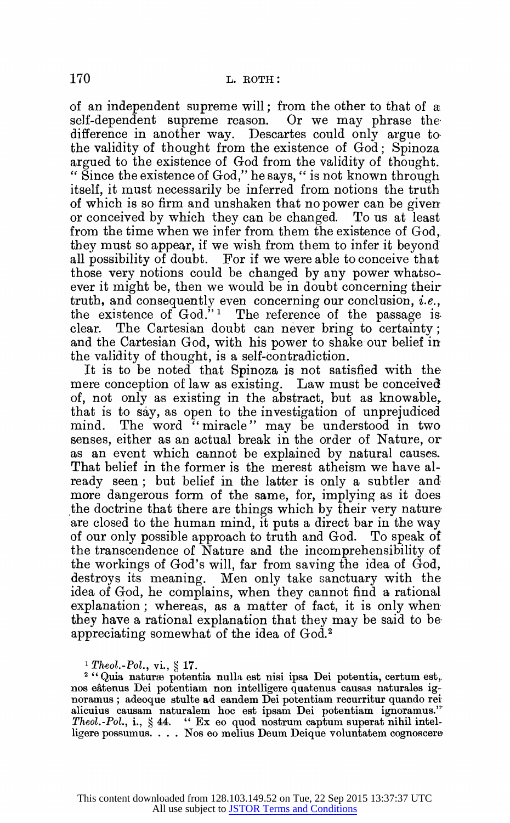**of an independent supreme will; from the other to that of a**  self-dependent supreme reason. Or we may phrase the difference in another way. Descartes could only argue to **the validity of thought from the existence of God; Spinoza argued to the existence of God from the validity of thought. " Since the existence of God," he says, " is not known through itself, it must necessarily be inferred from notions the truth of which is so firm and unshaken that no power can be given or conceived by which they can be changed. To us at least**  from the time when we infer from them the existence of God. **they must so appear, if we wish from them to infer it beyond all possibility of doubt. For if we were able to conceive that those very notions could be changed by any power whatsoever it might be, then we would be in doubt concerning their truth, and consequently even concerning our conclusion, i.e., the existence of God." 1 The reference of the passage is. clear. The Cartesian doubt can never bring to certainty; and the Cartesian God, with his power to shake our belief in the validity of thought, is a self-contradiction.** 

**It is to be noted that Spinoza is not satisfied with the mere conception of law as existing. Law must be conceived of, not only as existing in the abstract, but as knowable, that is to say, as open to the investigation of unprejudiced**  mind. The word "miracle" may be understood in two **senses, either as an actual break in the order of Nature, or as an event which cannot be explained by natural causes. That belief in the former is the merest atheism we have already seen; but belief in the latter is only a subtler and more dangerous form of the same, for, implying as it does the doctrine that there are things which by their very nature are closed to the human mind, it puts a direct bar in the way of our only possible approach to truth and God. To speak of the transcendence of Nature and the incomprehensibility of the workings of God's will, far from saving the idea of God, destroys its meaning. Men only take sanctuary with the idea of God, he complains, when they cannot find a rational explanation; whereas, as a matter of fact, it is only when they have a rational explanation that they may be said to be appreciating somewhat of the idea of God.2** 

**<sup>1</sup>Theol.-Pol., vi., ? 17.** 

**<sup>2</sup>" Quia naturae potentia nulla. est nisi ipsa Dei potentia, certum est, nos eatenus Dei potentiam non intelligere quatenus causas naturales ig- noramus; adeoque stulte ad eandem Dei potentiam recurritur quando rei alicuius causam naturalem hoc est ipsam Dei potentiam ignoramus.' Theol.-Pol., i., ? 44. " Ex eo quod nostrum captum superat nihil intel-ligere possumus. . . . Nos eo melius Deum Deique voluntatem cognoscere**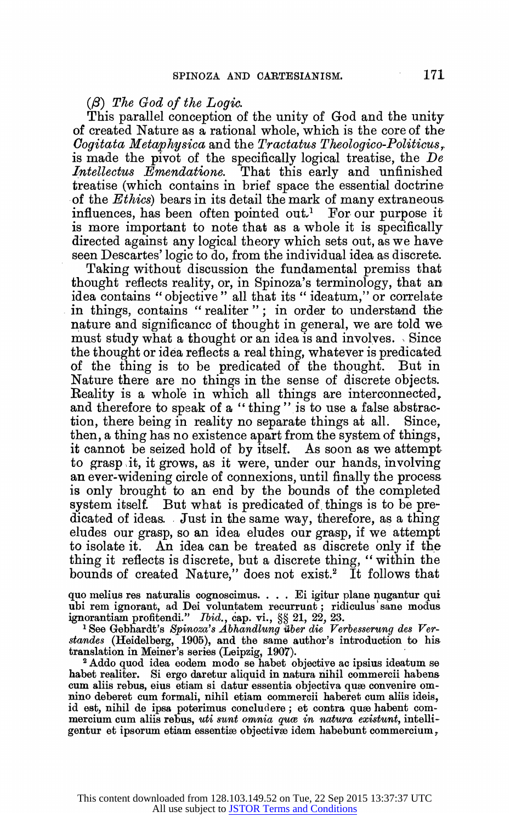### **(,8) The God of the Logic.**

**This parallel conception of the unity of God and the unity of created Nature as a rational whole, which is the core of the Cogitata Metaphysioca and the Tractatus Theologico-Politicus, is made the pivot of the specifically logical treatise, the De**  *Intellectus Emendatione.* That this early and unfinished **treatise (which contains in brief space the essential doctrine -of the Ethics) bears in its detail the mark of many extraneous influences, has been often pointed out,' For our purpose it is more important to note that as a whole it is specifically directed against any logical theory which sets out, as we have seen Descartes' logic to do, from the individual idea as discrete.** 

**Taking without discussion the fundamental premiss that thought reflects reality, or, in Spinoza's terminology, that an idea contains " objective " all that its " ideatum," or correlate in things, contains " realiter "; in order to understand the nature and significancc of thought in general, we are told we must study what a thought or an idea is and involves. Since the thought or idea reflects a real thing, whatever is predicated of the thing is to be predicated of the thought. But in Nature there are no things in the sense of discrete objects. Reality is a whole in which all things are interconnected, and therefore to speak of a " thing" is to use a false abstraction, there being in reality no separate things at all. Since, then, a thing has no existence apart from the system of things,**  it cannot be seized hold of by itself. As soon as we attempt **to grasp it, it grows, as it were, under our hands, involving an ever-widening circle of connexions, until finally the process is only brought to an end by the bounds of the completed**  system itself. But what is predicated of things is to be pre**dicated of ideas. Just in the same way, therefore, as a thing eludes our grasp, so an idea eludes our grasp, if we attempt**  to isolate it. An idea can be treated as discrete only if the **thing it reflects is discrete, but a discrete thing, " within the bounds of created Nature," does not exist.2 It follows that** 

**quo melius res naturalis cognoscimus. . . . Ei igitur plane nugantur qui**  ubi rem ignorant, ad Dei voluntatem recurrunt; ridiculus sane modus ignorantiam profitendi." *Ibid.*, *c*ap. vi., §§ 21, 22, 23.

<sup>1</sup> See Gebhardt's Spinoza's Abhandlung über die Verbesserung des Ver**standes (Heidelberg, 1905), and the same author's introduction to his translation in Meiner's series (Leipzig, 1907).** 

**2 Addo quod idea codem modo se habet objective ac ipsius ideatum se habet realiter. Si ergo daretur aliquid in natura nihil commercii habens cum aliis rebus, eius etiam si datur essentia objectiva qua convenire omnino deberet cum formali, nihil etiam commercii haberet cum aliis ideis,**  id est, nihil de ipsa poterimus concludere; et contra quæ habent commercium cum aliis rebus, *uti sunt omnia quae in natura existunt*, intelligentur et ipsorum etiam essentiæ objectivæ idem habebunt commercium,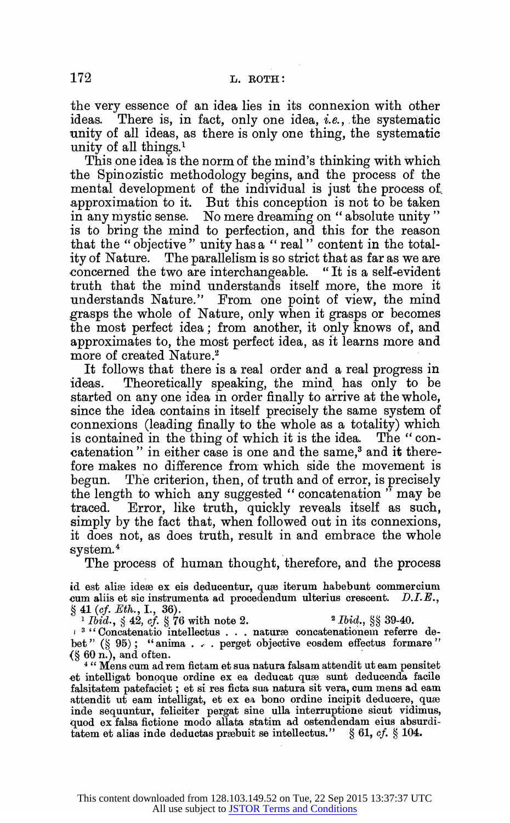**the very essence of an idea lies in its connexion with other ideas. There is, in fact, only one idea, i.e., the systematic unity of all ideas, as there is only one thing, the systematic unity of all things.'** 

**This one idea is the norm of the mind's thinking with which the Spinozistic methodology begins, and the process of the mental development of the individual is just the process of, approximation to it. But this conception is not to be taken in any mystic sense. No mere dreaming on " absolute unity is to bring the mind to perfection, and this for the reason that the " objective " unity has a " real " content in the totality of Nature. The parallelism is so strict that as far as we are concerned the two are interchangeable. " It is a self-evident truth that the mind understands itself more, the more it understands Nature." From one point of view, the mind grasps the whole of Nature, only when it grasps or becomes the most perfect idea; from another, it only knows of, and approximates to, the most perfect idea, as it learns more and more of created Nature.2** 

**It follows that there is a real order and a real progress in ideas. Theoretically speaking, the mind has only to be started on any one idea in order finally to arrive at the whole, since the idea contains in itself precisely the same system of connexions (leading finally to the whole as a totality) which is contained in the thing of which it is the idea. The " con**catenation" in either case is one and the same,<sup>3</sup> and it there**fore makes no difference from which side the movement is begun. The criterion, then, of truth and of error, is precisely the length to which any suggested " concatenation " may be traced. Error, like truth, quickly reveals itself as such, simply by the fact that, when followed out in its connexions, it does not, as does truth, result in and embrace the whole system.4** 

The process of human thought, therefore, and the process

id est aliæ ideæ ex eis deducentur, quæ iterum habebunt commercium **cum aliis et sic instrumenta ad procedendum ulterius crescent. D.I.E.,**   $\begin{array}{ll}\n\text{\$41 (cf. Eth., I., 36).}\n & \text{1 biid., § 42, cf. § 76 with note 2.}\n & \text{1 biid., § § 39-40.}\n\end{array}$ 

**bet" (? 95); "anima . . . perget objective eosdem effectus formare" (? 60 n.), and often.** 

**<sup>4</sup>"Mens cum ad rem fictam et sua natura falsam attendit ut eam pensitet et intelligat bonoque ordine ex ea deducat quee sunt deducenda facile falsitatem patefaciet; et si res ficta sua natura sit vera, cum mens ad eam**  attendit ut eam intelligat, et ex ea bono ordine incipit deducere, quæ **inde sequuntur, feliciter pergat sine ulla interruptione sicut vidimus, quod ex falsa fictione modo allata statim ad ostendendam eius absurditatem et alias inde deductas præbuit se intellectus."** § 61, cf. § 104.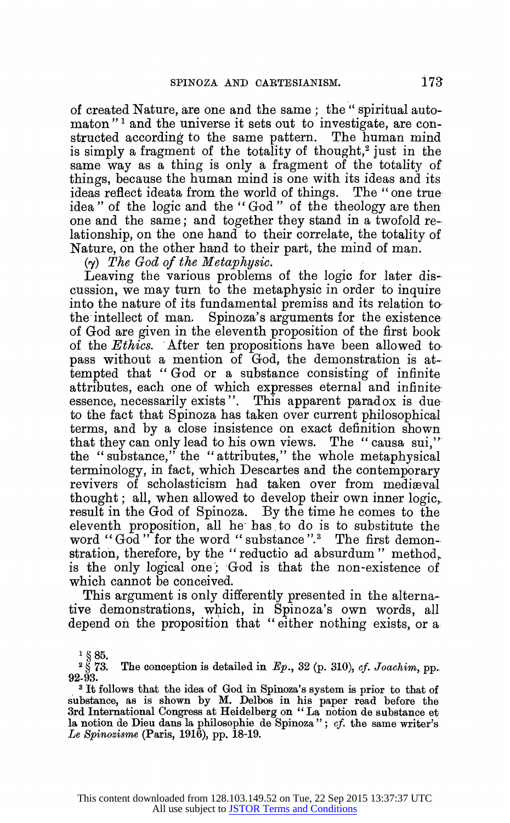**of created Nature, are one and the same; the " spiritual auto**maton<sup>"1</sup> and the universe it sets out to investigate, are con**structed according to the same pattern. The human mind**  is simply a fragment of the totality of thought,<sup>2</sup> just in the **same way as a thing is only a fragment of the totality of things, because the human mind is one with its ideas and its**  ideas reflect ideata from the world of things. **idea " of the logic and the " God " of the theology are then one and the same; and together they stand in a twofold re- lationship, on the one hand to their correlate, the totality of Nature, on the other hand to their part, the mind of man.** 

**(ry) The God of the Metaphysic.** 

**Leaving the various problems of the logic for later dis**cussion, we may turn to the metaphysic in order to inquire **into the nature of its fundamental premiss and its relation tothe-intellect of man. Spinoza's arguments for the existence of God are given in the eleventh proposition of the first book of the Ethics. After ten propositions have been allowed to pass without a mention of God, the demonstration is attempted that "God or a substance consisting of infinite attributes, each one of which expresses eternal and infinite essence, necessarily exists". This apparent paradox is due to the fact that Spinoza has taken over current philosophical terms, and by a close insistence on exact definition shown that they can only lead to his own views. The "causa sui," the " substance," the "attributes," the whole metaphysical terminology, in fact, which Descartes and the contemporary**  revivers of scholasticism had taken over from mediæval **thought; all, when allowed to develop their own inner logic,. result in the God of Spinoza. By the time he comes to the eleventh proposition, all he- has to do is to substitute the**  word "God" for the word "substance".<sup>3</sup> The first demon**stration, therefore, by the " reductio ad absurdum " method,**  is the only logical one; God is that the non-existence of **which cannot be conceived.** 

**This argument is only differently presented in the alternative demonstrations, which, in Spinoza's own words, all depend on the proposition that " either nothing exists, or a** 

 $\frac{1}{2} \frac{8}{5} \frac{85}{73}$ . The conception is detailed in Ep., 32 (p. 310), cf. Joachim, pp. **92-93.** 

**<sup>3</sup>It follows that the idea of God in Spinoza's system is prior to that of**  substance, as is shown by M. Delbos in his paper read before the **3rd International Congress at Heidelberg on " La notion de substance et la notion de Dieu dans la philosophie de Spinoza "; cf. the same writer's Le Spinozisme (Paris, 1916), pp. 18-19.**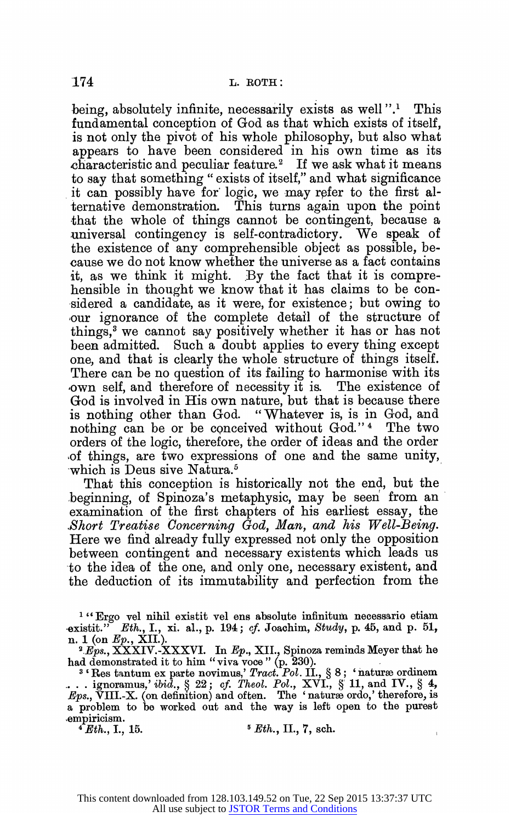**being, absolutely infinite, necessarily exists as well".' This fundamental conception of God as that which exists of itself,**  is not only the pivot of his whole philosophy, but also what **appears to have been considered in his own time as its characteristic and peculiar feature.2 If we ask what it means to say that something " exists of itself," and what significance**  it can possibly have for logic, we may refer to the first al**ternative demonstration. This turns again upon the point that the whole of things cannot be contingent, because a universal contingency is self-contradictory. We speak of the existence of any comprehensible object as possible, because we do not know whether the universe as a fact contains it, as we think it might. By the fact that it is compre**hensible in thought we know that it has claims to be con**sidered a candidate, as it were, for existence; but owing to 'our ignorance of the complete detail of the structure of things,3 we cannot say positively whether it has or has not been admitted. Such a doubt applies to every thing except one, and that is clearly the whole structure of things itself. There can be no question of its failing to harmonise with its -own self, and therefore of necessity it is. The existence of God is involved in His own nature, but that is because there is nothing other than God. "Whatever is, is in God, and nothing can be or be cQnceived without God."4 The two orders of the logic, therefore, the order of ideas and the order ,of things, are two expressions of one and the same unity, which is Deus sive Natura.5** 

**That this conception is historically not the end, but the beginning, of Spinoza's metaphysic, may be seen' from an examination of the first chapters of his earliest essay, the Short Treatise Concerning God, Man, and his Well-Being. Here we find already fully expressed not only the opposition**  between contingent and necessary existents which leads us **-to the idea of the one, and only one, necessary existent, and the deduction of its immutability and perfection from the** 

**1 "Ergo vel nihil existit vel ens absolute infinitum necessario etiam ~existit." Eth., I., xi. al., p. 194; cf. Joaohim, Study, p. 45, and p. 51, n. 1 (on Ep., XII.). 2.Eps., XXXIV.-XXXVI. In Ep., XII., Spinoza reminds Meyer that he** 

**had demonstrated it to him " viva voce " (p. 230).** 

<sup>3</sup> 'Res tantum ex parte novimus,'  $\text{Tract.}$  Pol. II., § 8; 'naturæ ordinem **i ignoramus,'** *ibid.*, § 22; *cf. Theol. Pol.*,  $\overline{XVI}$ , § 11, and IV., § 4, *Eps.*, VIII.-X. (on definition) and often. The 'naturæ ordo,' therefore, is **a problem to be worked out and the way is left open to the purest lempiricism.**<br>
<sup>4</sup> *Eth.*, I., 15.

**4BSEth., 1., 15. 5 Eth., II., 7, sch.** 

All use subject to JSTOR Terms and Conditions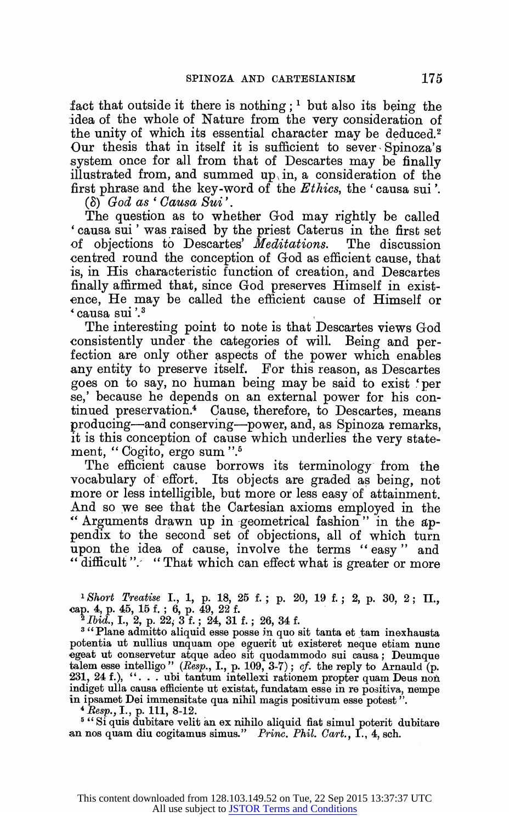**lact that outside it there is nothing; 1 but also its being the idea of the whole of Nature from the very consideration of the unity of which its essential character may be deduced.2 Our thesis that in itself it is sufficient to sever, Spinoza's system once for all from that of Descartes may be finally illustrated from, and summed up, in, a consideration of the first phrase and the key-word of the Ethics, the 'causa sui'.** 

**(8) God as ' Causa Sui'.** 

**The question as to whether God may rightly be called 'causa sui ' was raised by the priest Caterus in the first set**  of objections to Descartes' *Meditations*. **centred round the conception of God as efficient cause, that is, in His characteristic function of creation, and Descartes finally affirmed that, since God preserves Himself in existence, He may be called the efficient cause of Himself or 'causa sui '.** 

The interesting point to note is that Descartes views God **consistently under the categories of will. Being and perfection are only other aspects of the power which enables any entity to preserve itself. For this reason, as Descartes goes on to say, no human being may be said to exist 'per se,' because he depends on an external power for his continued preservation.4 Cause, therefore, to Descartes, means producing-and conserving-power, and, as Spinoza remarks, it is this conception of cause which underlies the very statement, " Cogito, ergo sum".5** 

**The efficient cause borrows its terminology- from the vocabulary of effort. Its objects are graded as being, not more or less intelligible, but more or less easy of attainment. And so we see that the Cartesian axioms employed in the "Arguments drawn up in geometrical fashion" in the appendix to the second set of objections, all of which turn upon the idea of cause, involve the terms " easy " and " difficult ". " That which can effect what is greater or more** 

**Short Treatise I., 1, p. 18, 25 f.; p. 20, 19 f.; 2, p. 30, 2; IL., c~ap. 4, P. 450, 15 f. ; 6, p. 49, 22 f.** 

**2lbid., I., 2, p. 22, 3 f.; 24, 31 f. ; 26, 34 f.** 

<sup>3</sup> "Plane admitto aliquid esse posse in quo sit tanta et tam inexhausta **potentia ut nullius unquam ope eguerit ut existeret neque etiam nune egeat ut conservetur atque adeo sit quodammodo sui causa; Deumque talem esse intelligo " (Resp., I., p. 109, 3-7); cf. the reply to Arnauld (p. 231, 24 f.**), ". . . ubi tantum intellexi rationem propter quam Deus non **indiget ulla causa efficiente ut existat, fundatam esse in re positiva, nempe in ipsamet Dei immensitate qua nihil magis positivum esse potest ". 4 Resp., I., p. ill, 8-12.** 

**<sup>5</sup>"Si quis dubitare velit an ex nihilo aliquid fiat simul poterit dubitare an nos quam diu cogitamus simus." Princ. Phil. Cart., I., 4, sch.**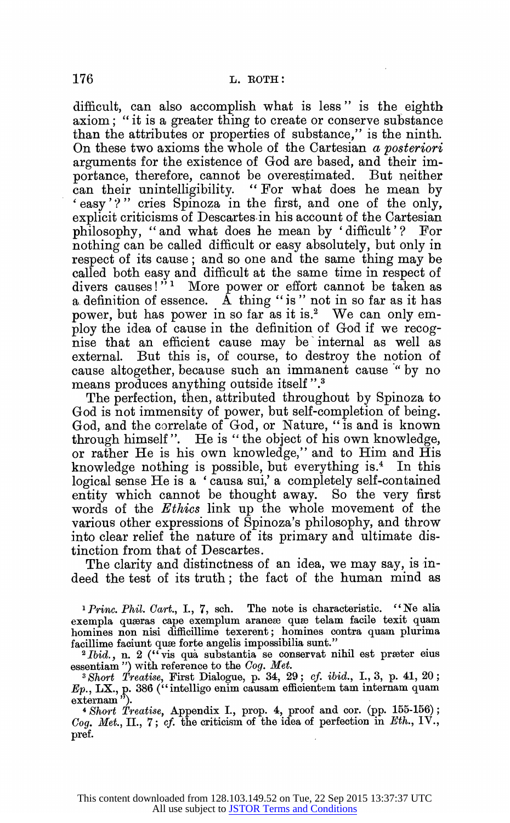**difficult, can also accomplish what is less" is the eighth axiom; " it is a greater thing to create or conserve substance than the attributes or properties of substance," is the ninth. On these two axioms the whole of the Cartesian a posteriori arguments for the existence of God are based, and their im**portance, therefore, cannot be overestimated. But neither **can their unintelligibility. "For what does he mean by**  'easy'?" cries Spinoza in the first, and one of the only, explicit criticisms of Descartes in his account of the Cartesian **philosophy, " and what does he mean by 'difficult'? For nothing can be called difficult or easy absolutely, but only in respect of its cause; and so one and the same thing may be called both easy and difficult at the same time in respect of divers causes! "1 More power or effort cannot be taken as a definition of essence. A thing " is " not in so far as it has**  power, but has power in so far as it is.<sup>2</sup> We can only em**ploy the idea of cause in the definition of God if we recognise that an efficient cause may be internal as well as external. But this is, of course, to destroy the notion of cause altogether, because such an immanent cause " by no means produces anything outside itself ".** 

**The perfection, then, attributed throughout by Spinoza to God is not immensity of power, but self-completion of being. God, and the correlate of God, or Nature, " is and is known through himself ". He is "the object of his own knowledge, or rather He is his own knowledge," and to Him and His**  knowledge nothing is possible, but everything is.<sup>4</sup> In this **logical sense He is a 'causa sui,' a completely self-contained entity which cannot be thought away. So the very first words of the Ethics link up the whole movement of the various other expressions of Spinoza's philosophy, and throw into clear relief the nature of its primary and ultimate distinction from that of Descartes.** 

**The clarity and distinctness of an idea, we may say, is indeed the test of its truth; the fact of the human mind as** 

**'Princ. Phtl. Cart., I., 7, sch. The note is characteristic. "Ne alia exempla queras cape exemplum aranee quoe telam facile texit quam homines non nisi difficillime texerent; homines contra quam plurima**  facillime faciunt quæ forte angelis impossibilia sunt."

<sup>2</sup>*Ibid.*, n. 2 ("vis qua substantia se conservat nihil est præter eius **essentiam ") with reference to the Cog. Met.** 

**3Short Treatise, First Dialogue, p. 34, 29; cf. ibid., I., 3, p. 41, 20; Ep., LX., p. 386 (" intelligo enim causam efficientem tam internam quam**   $ext{ernam}$ 

**4Short Treatise, Appendix I., prop. 4, proof and cor. (pp. 155-156);**  Cog. Met.,  $\Pi$ .,  $7$ ; cf. the criticism of the idea of perfection in  $Eth$ .,  $IV$ ., **pref.**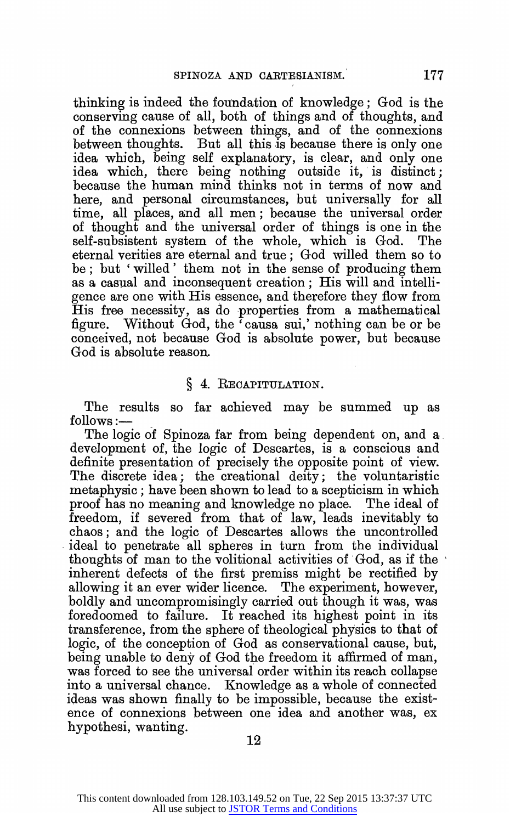**thinking is indeed the foundation of knowledge; God is the conserving cause of all, both of things and of thoughts, and of the connexions between things, and of the connexions between thoughts. But all this is because there is only one idea which, being self explanatory, is clear, and only one idea which, there being nothing outside it, is distinct; because the human mind thinks not in terms of now and here, and personal circumstances, but universally for all time, all places, and all men; because the universal order of thought and the universal order of things is one in the self-subsistent system of the whole, which is God. The eternal verities are eternal and true; God willed them so to be; but 'willed' them not in the sense of producing them as a casual and inconsequent creation; His will and intelligence are one with His essence, and therefore they flow from His free necessity, as do properties from a mathematical figure. Without God, the 'causa sui,' nothing can be or be conceived, not because God is absolute power, but because God is absolute reason.** 

#### **? 4. RECAPITULATION.**

**The results so far achieved may be summed up as follows** 

**The logic of Spinoza far from being dependent on, and a development of, the logic of Descartes, is a conscious and definite presentation of precisely the opposite point of view. The discrete idea; the creational deity; the voluntaristic metaphysic; have been shown to lead to a scepticism in which proof has no meaning and knowledge no place. The ideal of freedom, if severed from that of law, leads inevitably to cbaos; and the logic of Descartes allows the uncontrolled ideal to penetrate all spheres in turn from the individual thoughts of man to the volitional activities of God, as if the inherent defects of the first premiss might be rectified by allowing it an ever wider licence. The experiment, however, boldly and uncompromisingly carried out though it was, was foredoomed to failure. It reached its highest point in its transference, from the sphere of theological physics to that of logic, of the conception of God as conservational cause, but, being unable to deny of God the freedom it affirmed of man, was forced to see the universal order within its reach collapse into a universal chance. Knowledge as a whole of connected ideas was shown finally to be impossible, because the existence of connexions between one idea and another was, ex**  hypothesi, wanting.